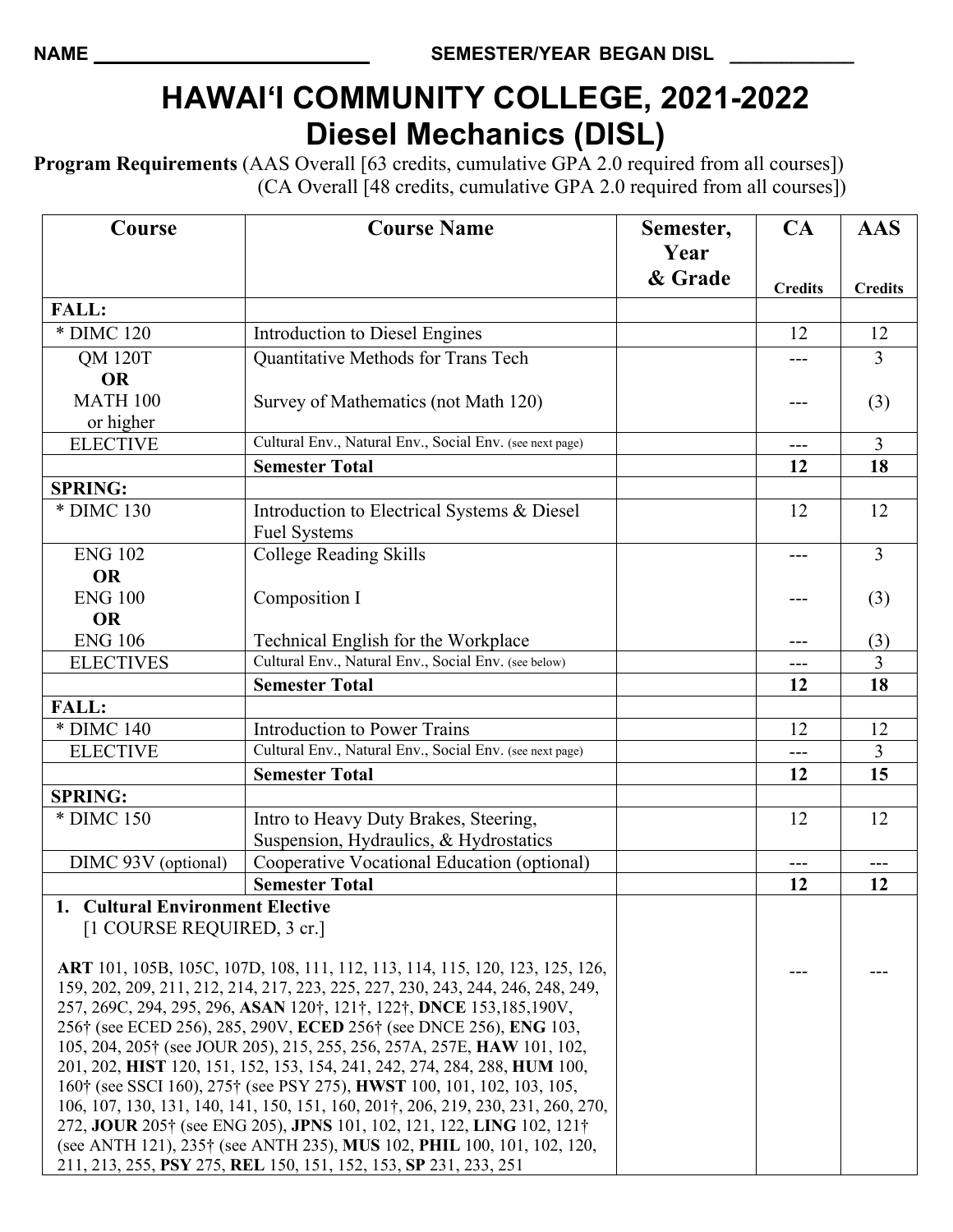## **HAWAI'I COMMUNITY COLLEGE, 2021-2022 Diesel Mechanics (DISL)**

**Program Requirements** (AAS Overall [63 credits, cumulative GPA 2.0 required from all courses]) (CA Overall [48 credits, cumulative GPA 2.0 required from all courses])

| Course                                                                                                | <b>Course Name</b>                                                                                                                                       | Semester, | CA             | <b>AAS</b>     |
|-------------------------------------------------------------------------------------------------------|----------------------------------------------------------------------------------------------------------------------------------------------------------|-----------|----------------|----------------|
|                                                                                                       |                                                                                                                                                          | Year      |                |                |
|                                                                                                       |                                                                                                                                                          | & Grade   | <b>Credits</b> | <b>Credits</b> |
| <b>FALL:</b>                                                                                          |                                                                                                                                                          |           |                |                |
| * DIMC 120                                                                                            | Introduction to Diesel Engines                                                                                                                           |           | 12             | 12             |
| <b>QM 120T</b>                                                                                        | Quantitative Methods for Trans Tech                                                                                                                      |           |                | 3              |
| <b>OR</b>                                                                                             |                                                                                                                                                          |           |                |                |
| <b>MATH 100</b>                                                                                       | Survey of Mathematics (not Math 120)                                                                                                                     |           |                | (3)            |
| or higher                                                                                             |                                                                                                                                                          |           |                |                |
| <b>ELECTIVE</b>                                                                                       | Cultural Env., Natural Env., Social Env. (see next page)                                                                                                 |           | ---            | $\overline{3}$ |
|                                                                                                       | <b>Semester Total</b>                                                                                                                                    |           | 12             | 18             |
| <b>SPRING:</b>                                                                                        |                                                                                                                                                          |           |                |                |
| * DIMC 130                                                                                            | Introduction to Electrical Systems & Diesel                                                                                                              |           | 12             | 12             |
|                                                                                                       | <b>Fuel Systems</b>                                                                                                                                      |           |                |                |
| <b>ENG 102</b>                                                                                        | <b>College Reading Skills</b>                                                                                                                            |           |                | 3              |
| <b>OR</b>                                                                                             |                                                                                                                                                          |           |                |                |
| <b>ENG 100</b>                                                                                        | Composition I                                                                                                                                            |           |                | (3)            |
| <b>OR</b>                                                                                             |                                                                                                                                                          |           |                |                |
| <b>ENG 106</b>                                                                                        | Technical English for the Workplace                                                                                                                      |           | ---            | (3)            |
| <b>ELECTIVES</b>                                                                                      | Cultural Env., Natural Env., Social Env. (see below)                                                                                                     |           | ---            | $\overline{3}$ |
|                                                                                                       | <b>Semester Total</b>                                                                                                                                    |           | 12             | 18             |
| <b>FALL:</b>                                                                                          |                                                                                                                                                          |           |                |                |
| * DIMC 140                                                                                            | <b>Introduction to Power Trains</b>                                                                                                                      |           | 12             | 12             |
| <b>ELECTIVE</b>                                                                                       | Cultural Env., Natural Env., Social Env. (see next page)                                                                                                 |           | ---            | $\overline{3}$ |
|                                                                                                       | <b>Semester Total</b>                                                                                                                                    |           | 12             | 15             |
| <b>SPRING:</b>                                                                                        |                                                                                                                                                          |           |                |                |
| * DIMC 150                                                                                            | Intro to Heavy Duty Brakes, Steering,                                                                                                                    |           | 12             | 12             |
|                                                                                                       | Suspension, Hydraulics, & Hydrostatics                                                                                                                   |           |                |                |
| DIMC 93V (optional)                                                                                   | Cooperative Vocational Education (optional)                                                                                                              |           | ---            | ---            |
|                                                                                                       | <b>Semester Total</b>                                                                                                                                    |           | 12             | 12             |
| 1. Cultural Environment Elective                                                                      |                                                                                                                                                          |           |                |                |
| [1 COURSE REQUIRED, 3 cr.]                                                                            |                                                                                                                                                          |           |                |                |
|                                                                                                       | ART 101, 105B, 105C, 107D, 108, 111, 112, 113, 114, 115, 120, 123, 125, 126,                                                                             |           |                |                |
|                                                                                                       |                                                                                                                                                          |           |                |                |
|                                                                                                       | 159, 202, 209, 211, 212, 214, 217, 223, 225, 227, 230, 243, 244, 246, 248, 249,<br>257, 269C, 294, 295, 296, ASAN 120†, 121†, 122†, DNCE 153, 185, 190V, |           |                |                |
|                                                                                                       | 256† (see ECED 256), 285, 290V, ECED 256† (see DNCE 256), ENG 103,                                                                                       |           |                |                |
| 105, 204, 205† (see JOUR 205), 215, 255, 256, 257A, 257E, HAW 101, 102,                               |                                                                                                                                                          |           |                |                |
| 201, 202, HIST 120, 151, 152, 153, 154, 241, 242, 274, 284, 288, HUM 100,                             |                                                                                                                                                          |           |                |                |
| 160 <sup>†</sup> (see SSCI 160), 275 <sup>†</sup> (see PSY 275), <b>HWST</b> 100, 101, 102, 103, 105, |                                                                                                                                                          |           |                |                |
| 106, 107, 130, 131, 140, 141, 150, 151, 160, 201†, 206, 219, 230, 231, 260, 270,                      |                                                                                                                                                          |           |                |                |
| 272, JOUR 205† (see ENG 205), JPNS 101, 102, 121, 122, LING 102, 121†                                 |                                                                                                                                                          |           |                |                |
|                                                                                                       | (see ANTH 121), 235 <sup>†</sup> (see ANTH 235), MUS 102, PHIL 100, 101, 102, 120,                                                                       |           |                |                |
| 211, 213, 255, PSY 275, REL 150, 151, 152, 153, SP 231, 233, 251                                      |                                                                                                                                                          |           |                |                |